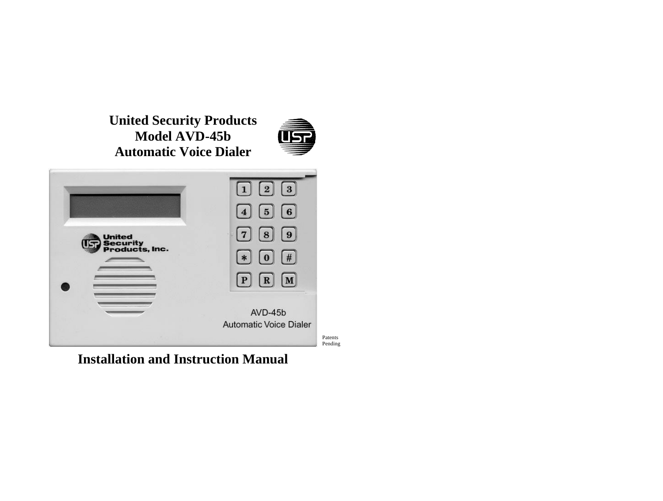**United Security Products Model AVD-45b Automatic Voice Dialer**



|                                             | $1 \mid 2 \mid$<br>$\vert 3 \vert$                  |
|---------------------------------------------|-----------------------------------------------------|
|                                             | $\boxed{4}$ $\boxed{5}$ $\boxed{6}$                 |
| <b>United</b><br>Security<br>Products, Inc. | $\left[\mathbf{8}\right]$<br>$\left[9\right]$<br> 7 |
|                                             | 1#<br>$\overline{0}$<br>$*$                         |
|                                             | $\left[ \mathbf{R} \right]$<br>$\mathbf{P}$<br>M    |
|                                             | AVD-45b                                             |
|                                             | <b>Automatic Voice Dialer</b>                       |
|                                             | Patents<br>Pending                                  |

**Installation and Instruction Manual**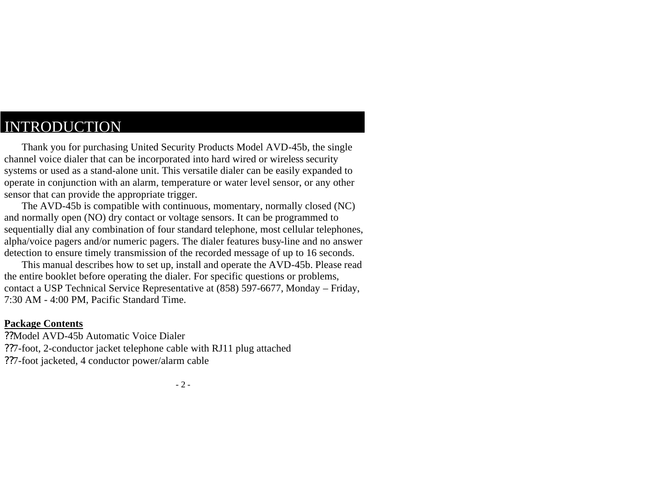### INTRODUCTION

Thank you for purchasing United Security Products Model AVD-45b, the single channel voice dialer that can be incorporated into hard wired or wireless security systems or used as a stand-alone unit. This versatile dialer can be easily expanded to operate in conjunction with an alarm, temperature or water level sensor, or any other sensor that can provide the appropriate trigger.

The AVD-45b is compatible with continuous, momentary, normally closed (NC) and normally open (NO) dry contact or voltage sensors. It can be programmed to sequentially dial any combination of four standard telephone, most cellular telephones, alpha/voice pagers and/or numeric pagers. The dialer features busy-line and no answer detection to ensure timely transmission of the recorded message of up to 16 seconds.

This manual describes how to set up, install and operate the AVD-45b. Please read the entire booklet before operating the dialer. For specific questions or problems, contact a USP Technical Service Representative at (858) 597-6677, Monday – Friday, 7:30 AM - 4:00 PM, Pacific Standard Time.

#### **Package Contents**

??Model AVD-45b Automatic Voice Dialer ??7-foot, 2-conductor jacket telephone cable with RJ11 plug attached ??7-foot jacketed, 4 conductor power/alarm cable

- 2 -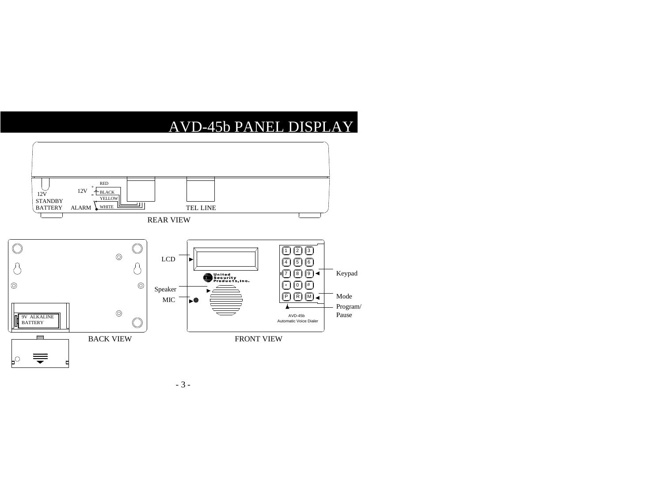# AVD-45b PANEL DISPLAY



- 3 -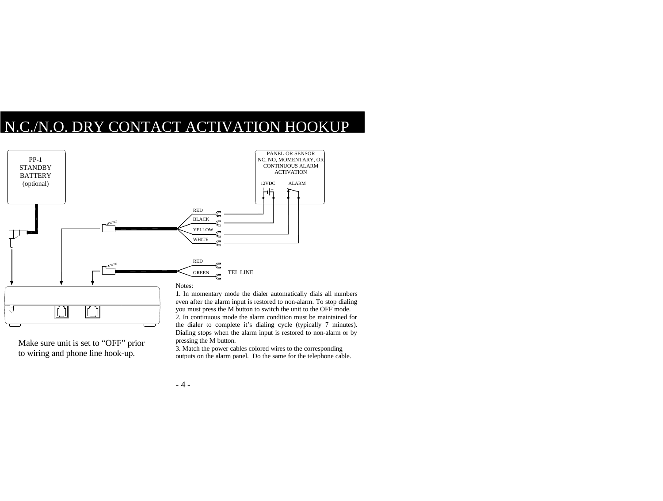# N.C./N.O. DRY CONTACT ACTIVATION HOOKUP



Make sure unit is set to "OFF" prior to wiring and phone line hook-up.

1. In momentary mode the dialer automatically dials all numbers even after the alarm input is restored to non-alarm. To stop dialing you must press the M button to switch the unit to the OFF mode. 2. In continuous mode the alarm condition must be maintained for the dialer to complete it's dialing cycle (typically 7 minutes). Dialing stops when the alarm input is restored to non-alarm or by pressing the M button.

3. Match the power cables colored wires to the corresponding outputs on the alarm panel. Do the same for the telephone cable.

 $-4-$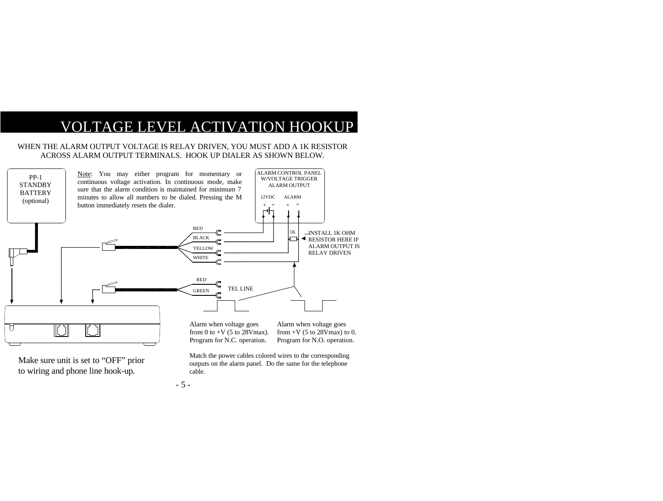## VOLTAGE LEVEL ACTIVATION HOOKUP

#### WHEN THE ALARM OUTPUT VOLTAGE IS RELAY DRIVEN, YOU MUST ADD A 1K RESISTOR ACROSS ALARM OUTPUT TERMINALS. HOOK UP DIALER AS SHOWN BELOW.



Make sure unit is set to "OFF" prior to wiring and phone line hook-up.

Match the power cables colored wires to the corresponding outputs on the alarm panel. Do the same for the telephone cable.

- 5 -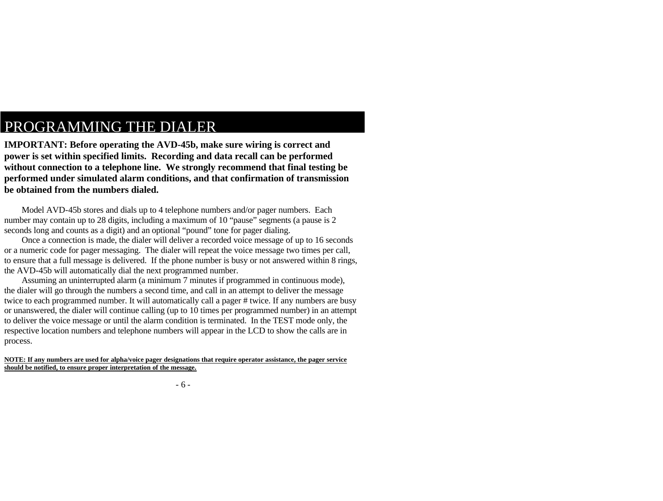**IMPORTANT: Before operating the AVD-45b, make sure wiring is correct and power is set within specified limits. Recording and data recall can be performed without connection to a telephone line. We strongly recommend that final testing be performed under simulated alarm conditions, and that confirmation of transmission be obtained from the numbers dialed.**

Model AVD-45b stores and dials up to 4 telephone numbers and/or pager numbers. Each number may contain up to 28 digits, including a maximum of 10 "pause" segments (a pause is 2 seconds long and counts as a digit) and an optional "pound" tone for pager dialing.

Once a connection is made, the dialer will deliver a recorded voice message of up to 16 seconds or a numeric code for pager messaging. The dialer will repeat the voice message two times per call, to ensure that a full message is delivered. If the phone number is busy or not answered within 8 rings, the AVD-45b will automatically dial the next programmed number.

Assuming an uninterrupted alarm (a minimum 7 minutes if programmed in continuous mode), the dialer will go through the numbers a second time, and call in an attempt to deliver the message twice to each programmed number. It will automatically call a pager # twice. If any numbers are busy or unanswered, the dialer will continue calling (up to 10 times per programmed number) in an attempt to deliver the voice message or until the alarm condition is terminated. In the TEST mode only, the respective location numbers and telephone numbers will appear in the LCD to show the calls are in process.

**NOTE: If any numbers are used for alpha/voice pager designations that require operator assistance, the pager service should be notified, to ensure proper interpretation of the message.**

- 6 -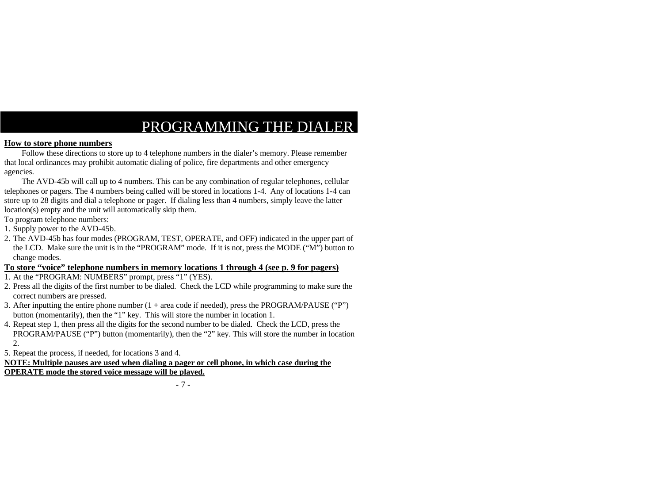#### **How to store phone numbers**

Follow these directions to store up to 4 telephone numbers in the dialer's memory. Please remember that local ordinances may prohibit automatic dialing of police, fire departments and other emergency agencies.

The AVD-45b will call up to 4 numbers. This can be any combination of regular telephones, cellular telephones or pagers. The 4 numbers being called will be stored in locations 1-4. Any of locations 1-4 can store up to 28 digits and dial a telephone or pager. If dialing less than 4 numbers, simply leave the latter location(s) empty and the unit will automatically skip them.

To program telephone numbers:

1. Supply power to the AVD-45b.

2. The AVD-45b has four modes (PROGRAM, TEST, OPERATE, and OFF) indicated in the upper part of the LCD. Make sure the unit is in the "PROGRAM" mode. If it is not, press the MODE ("M") button to change modes.

#### **To store "voice" telephone numbers in memory locations 1 through 4 (see p. 9 for pagers)**

- 1. At the "PROGRAM: NUMBERS" prompt, press "1" (YES).
- 2. Press all the digits of the first number to be dialed. Check the LCD while programming to make sure the correct numbers are pressed.
- 3. After inputting the entire phone number  $(1 + \text{area code if needed})$ , press the PROGRAM/PAUSE ("P") button (momentarily), then the "1" key. This will store the number in location 1.
- 4. Repeat step 1, then press all the digits for the second number to be dialed. Check the LCD, press the PROGRAM/PAUSE ("P") button (momentarily), then the "2" key. This will store the number in location 2.

5. Repeat the process, if needed, for locations 3 and 4.

**NOTE: Multiple pauses are used when dialing a pager or cell phone, in which case during the OPERATE mode the stored voice message will be played.**

- 7 -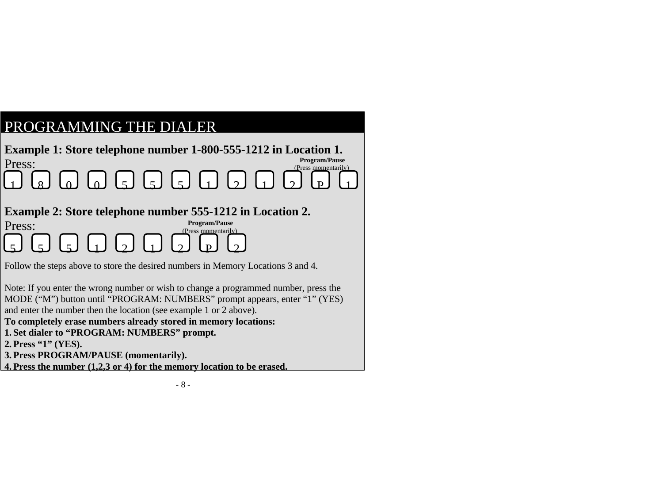

**2. Press "1" (YES).**

**3. Press PROGRAM/PAUSE (momentarily).**

**4. Press the number (1,2,3 or 4) for the memory location to be erased.**

- 8 -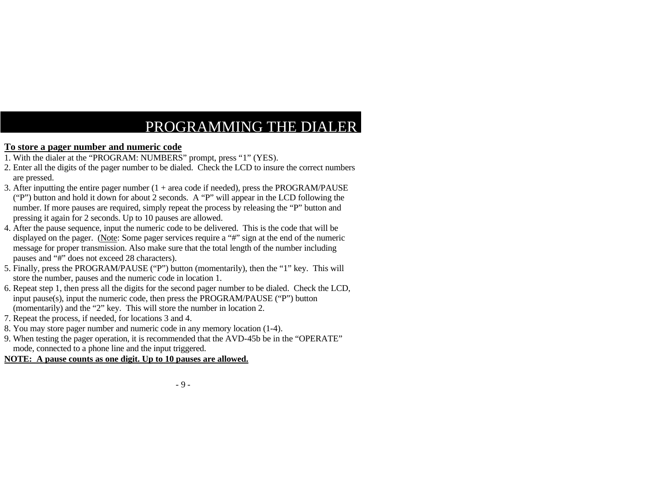### **To store a pager number and numeric code**

- 1. With the dialer at the "PROGRAM: NUMBERS" prompt, press "1" (YES).
- 2. Enter all the digits of the pager number to be dialed. Check the LCD to insure the correct numbers are pressed.
- 3. After inputting the entire pager number  $(1 + \text{area code if needed})$ , press the PROGRAM/PAUSE ("P") button and hold it down for about 2 seconds. A "P" will appear in the LCD following the number. If more pauses are required, simply repeat the process by releasing the "P" button and pressing it again for 2 seconds. Up to 10 pauses are allowed.
- 4. After the pause sequence, input the numeric code to be delivered. This is the code that will be displayed on the pager. (Note: Some pager services require a "#" sign at the end of the numeric message for proper transmission. Also make sure that the total length of the number including pauses and "#" does not exceed 28 characters).
- 5. Finally, press the PROGRAM/PAUSE ("P") button (momentarily), then the "1" key. This will store the number, pauses and the numeric code in location 1.
- 6. Repeat step 1, then press all the digits for the second pager number to be dialed. Check the LCD, input pause(s), input the numeric code, then press the PROGRAM/PAUSE ("P") button (momentarily) and the "2" key. This will store the number in location 2.
- 7. Repeat the process, if needed, for locations 3 and 4.
- 8. You may store pager number and numeric code in any memory location (1-4).
- 9. When testing the pager operation, it is recommended that the AVD-45b be in the "OPERATE" mode, connected to a phone line and the input triggered.

### **NOTE: A pause counts as one digit. Up to 10 pauses are allowed.**

#### - 9 -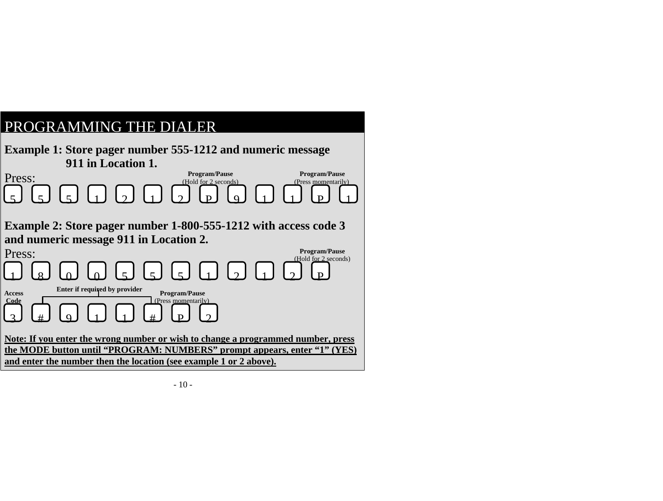|--|

|                                                                                                                                                                                                                                    | <b>Example 1: Store pager number 555-1212 and numeric message</b><br>911 in Location 1. |                      |                                              |  |                                              |
|------------------------------------------------------------------------------------------------------------------------------------------------------------------------------------------------------------------------------------|-----------------------------------------------------------------------------------------|----------------------|----------------------------------------------|--|----------------------------------------------|
| Press:                                                                                                                                                                                                                             |                                                                                         |                      | <b>Program/Pause</b><br>(Hold for 2 seconds) |  | <b>Program/Pause</b><br>(Press momentarily)  |
|                                                                                                                                                                                                                                    | $G G D D D G D D D G$                                                                   |                      |                                              |  |                                              |
|                                                                                                                                                                                                                                    | Example 2: Store pager number 1-800-555-1212 with access code 3                         |                      |                                              |  |                                              |
|                                                                                                                                                                                                                                    | and numeric message 911 in Location 2.                                                  |                      |                                              |  |                                              |
| Press:                                                                                                                                                                                                                             |                                                                                         |                      |                                              |  | <b>Program/Pause</b><br>(Hold for 2 seconds) |
|                                                                                                                                                                                                                                    |                                                                                         |                      |                                              |  |                                              |
| <b>Access</b>                                                                                                                                                                                                                      | Enter if required by provider                                                           | <b>Program/Pause</b> |                                              |  |                                              |
| Code                                                                                                                                                                                                                               | $\lceil 9 \rceil + 1 \rceil$                                                            | (Press momentarily)  |                                              |  |                                              |
| Note: If you enter the wrong number or wish to change a programmed number, press<br>the MODE button until "PROGRAM: NUMBERS" prompt appears, enter "1" (YES)<br>and enter the number then the location (see example 1 or 2 above). |                                                                                         |                      |                                              |  |                                              |
|                                                                                                                                                                                                                                    |                                                                                         |                      |                                              |  |                                              |

- 10 -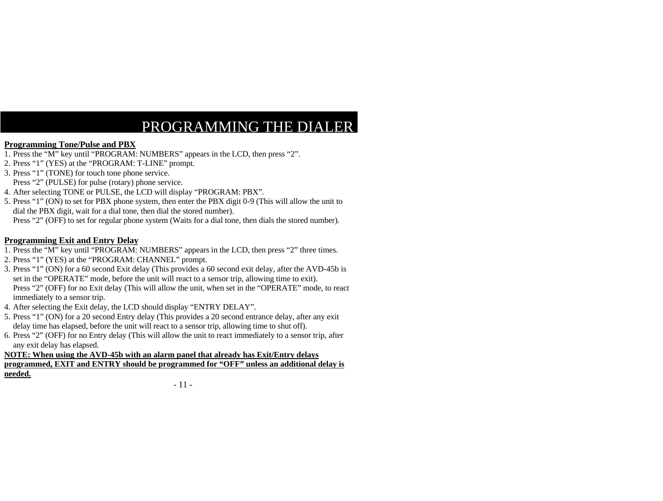#### **Programming Tone/Pulse and PBX**

- 1. Press the "M" key until "PROGRAM: NUMBERS" appears in the LCD, then press "2".
- 2. Press "1" (YES) at the "PROGRAM: T-LINE" prompt.
- 3. Press "1" (TONE) for touch tone phone service.
- Press "2" (PULSE) for pulse (rotary) phone service.
- 4. After selecting TONE or PULSE, the LCD will display "PROGRAM: PBX".
- 5. Press "1" (ON) to set for PBX phone system, then enter the PBX digit 0-9 (This will allow the unit to dial the PBX digit, wait for a dial tone, then dial the stored number).

Press "2" (OFF) to set for regular phone system (Waits for a dial tone, then dials the stored number).

#### **Programming Exit and Entry Delay**

- 1. Press the "M" key until "PROGRAM: NUMBERS" appears in the LCD, then press "2" three times.
- 2. Press "1" (YES) at the "PROGRAM: CHANNEL" prompt.
- 3. Press "1" (ON) for a 60 second Exit delay (This provides a 60 second exit delay, after the AVD-45b is set in the "OPERATE" mode, before the unit will react to a sensor trip, allowing time to exit). Press "2" (OFF) for no Exit delay (This will allow the unit, when set in the "OPERATE" mode, to react immediately to a sensor trip.
- 4. After selecting the Exit delay, the LCD should display "ENTRY DELAY".
- 5. Press "1" (ON) for a 20 second Entry delay (This provides a 20 second entrance delay, after any exit delay time has elapsed, before the unit will react to a sensor trip, allowing time to shut off).
- 6. Press "2" (OFF) for no Entry delay (This will allow the unit to react immediately to a sensor trip, after any exit delay has elapsed.

#### **NOTE: When using the AVD-45b with an alarm panel that already has Exit/Entry delays programmed, EXIT and ENTRY should be programmed for "OFF" unless an additional delay is needed.**

#### - 11 -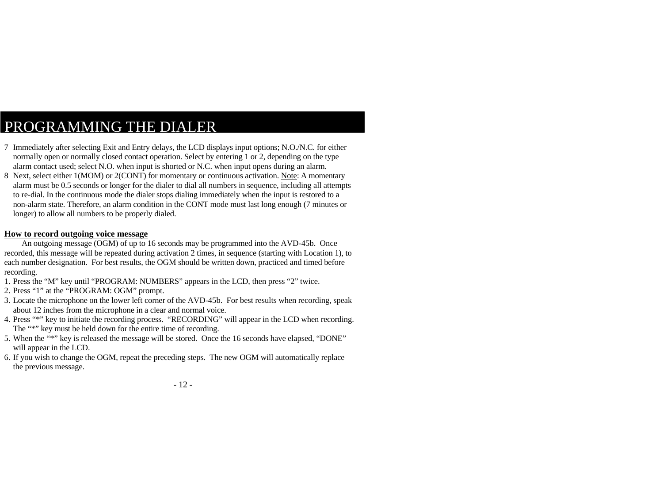- 7 Immediately after selecting Exit and Entry delays, the LCD displays input options; N.O./N.C. for either normally open or normally closed contact operation. Select by entering 1 or 2, depending on the type alarm contact used; select N.O. when input is shorted or N.C. when input opens during an alarm.
- 8 Next, select either 1(MOM) or 2(CONT) for momentary or continuous activation. Note: A momentary alarm must be 0.5 seconds or longer for the dialer to dial all numbers in sequence, including all attempts to re-dial. In the continuous mode the dialer stops dialing immediately when the input is restored to a non-alarm state. Therefore, an alarm condition in the CONT mode must last long enough (7 minutes or longer) to allow all numbers to be properly dialed.

#### **How to record outgoing voice message**

An outgoing message (OGM) of up to 16 seconds may be programmed into the AVD-45b. Once recorded, this message will be repeated during activation 2 times, in sequence (starting with Location 1), to each number designation. For best results, the OGM should be written down, practiced and timed before recording.

- 1. Press the "M" key until "PROGRAM: NUMBERS" appears in the LCD, then press "2" twice.
- 2. Press "1" at the "PROGRAM: OGM" prompt.
- 3. Locate the microphone on the lower left corner of the AVD-45b. For best results when recording, speak about 12 inches from the microphone in a clear and normal voice.
- 4. Press "\*" key to initiate the recording process. "RECORDING" will appear in the LCD when recording. The "\*" key must be held down for the entire time of recording.
- 5. When the "\*" key is released the message will be stored. Once the 16 seconds have elapsed, "DONE" will appear in the LCD.
- 6. If you wish to change the OGM, repeat the preceding steps. The new OGM will automatically replace the previous message.
	- 12 -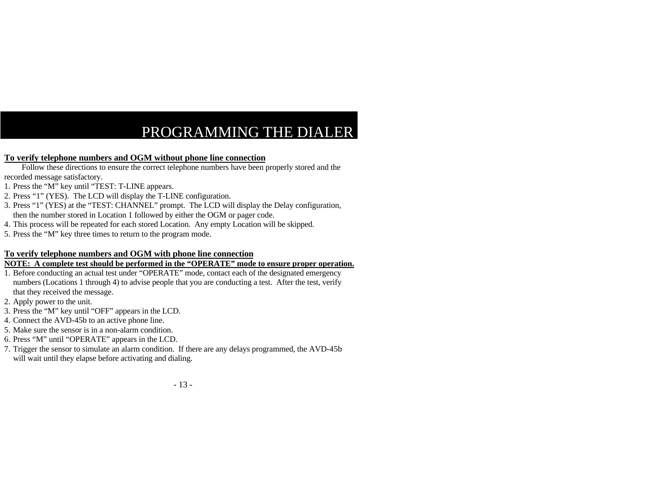#### **To verify telephone numbers and OGM without phone line connection**

Follow these directions to ensure the correct telephone numbers have been properly stored and the recorded message satisfactory.

- 1. Press the "M" key until "TEST: T-LINE appears.
- 2. Press "1" (YES). The LCD will display the T-LINE configuration.
- 3. Press "1" (YES) at the "TEST: CHANNEL" prompt. The LCD will display the Delay configuration, then the number stored in Location 1 followed by either the OGM or pager code.
- 4. This process will be repeated for each stored Location. Any empty Location will be skipped.
- 5. Press the "M" key three times to return to the program mode.

#### **To verify telephone numbers and OGM with phone line connection**

#### **NOTE: A complete test should be performed in the "OPERATE" mode to ensure proper operation.**

- 1. Before conducting an actual test under "OPERATE" mode, contact each of the designated emergency numbers (Locations 1 through 4) to advise people that you are conducting a test. After the test, verify that they received the message.
- 2. Apply power to the unit.
- 3. Press the "M" key until "OFF" appears in the LCD.
- 4. Connect the AVD-45b to an active phone line.
- 5. Make sure the sensor is in a non-alarm condition.
- 6. Press "M" until "OPERATE" appears in the LCD.
- 7. Trigger the sensor to simulate an alarm condition. If there are any delays programmed, the AVD-45b will wait until they elapse before activating and dialing.

- 13 -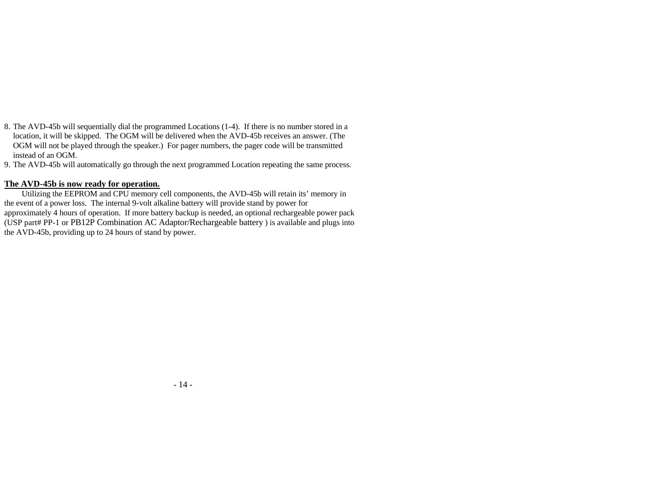- 8. The AVD-45b will sequentially dial the programmed Locations (1-4). If there is no number stored in a location, it will be skipped. The OGM will be delivered when the AVD-45b receives an answer. (The OGM will not be played through the speaker.) For pager numbers, the pager code will be transmitted instead of an OGM.
- 9. The AVD-45b will automatically go through the next programmed Location repeating the same process.

#### **The AVD-45b is now ready for operation.**

Utilizing the EEPROM and CPU memory cell components, the AVD-45b will retain its' memory in the event of a power loss. The internal 9-volt alkaline battery will provide stand by power for approximately 4 hours of operation. If more battery backup is needed, an optional rechargeable power pack (USP part# PP-1 or PB12P Combination AC Adaptor/Rechargeable battery ) is available and plugs into the AVD-45b, providing up to 24 hours of stand by power.

- 14 -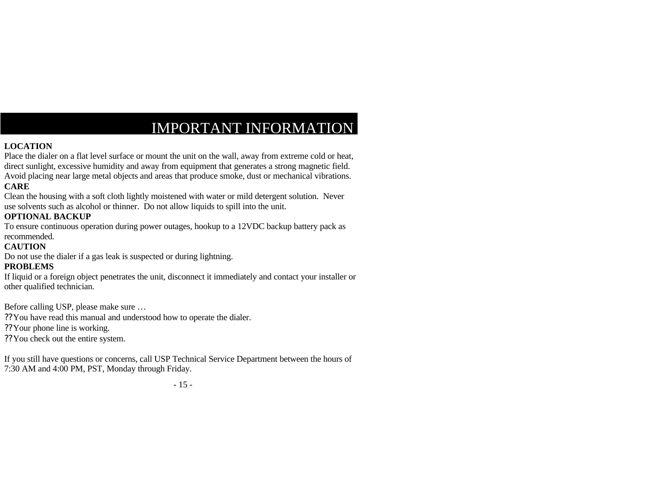## IMPORTANT INFORMATION

### **LOCATION**

Place the dialer on a flat level surface or mount the unit on the wall, away from extreme cold or heat, direct sunlight, excessive humidity and away from equipment that generates a strong magnetic field. Avoid placing near large metal objects and areas that produce smoke, dust or mechanical vibrations. **CARE**

Clean the housing with a soft cloth lightly moistened with water or mild detergent solution. Never use solvents such as alcohol or thinner. Do not allow liquids to spill into the unit.

### **OPTIONAL BACKUP**

To ensure continuous operation during power outages, hookup to a 12VDC backup battery pack as recommended.

### **CAUTION**

Do not use the dialer if a gas leak is suspected or during lightning.

### **PROBLEMS**

If liquid or a foreign object penetrates the unit, disconnect it immediately and contact your installer or other qualified technician.

Before calling USP, please make sure …

??You have read this manual and understood how to operate the dialer.

??Your phone line is working.

??You check out the entire system.

If you still have questions or concerns, call USP Technical Service Department between the hours of 7:30 AM and 4:00 PM, PST, Monday through Friday.

- 15 -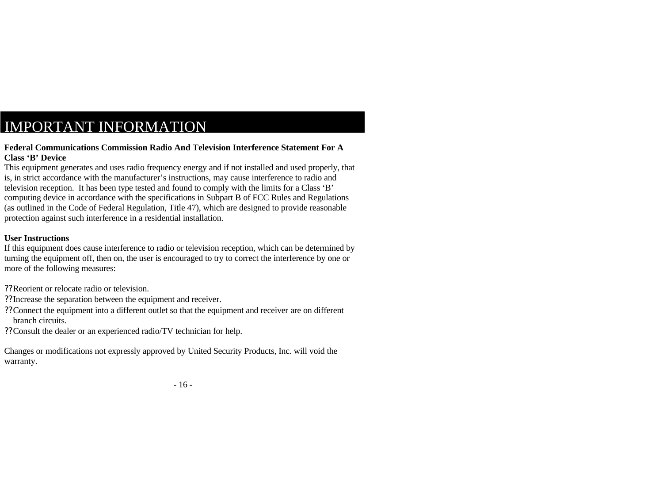## IMPORTANT INFORMATION

#### **Federal Communications Commission Radio And Television Interference Statement For A Class 'B' Device**

This equipment generates and uses radio frequency energy and if not installed and used properly, that is, in strict accordance with the manufacturer's instructions, may cause interference to radio and television reception. It has been type tested and found to comply with the limits for a Class 'B' computing device in accordance with the specifications in Subpart B of FCC Rules and Regulations (as outlined in the Code of Federal Regulation, Title 47), which are designed to provide reasonable protection against such interference in a residential installation.

### **User Instructions**

If this equipment does cause interference to radio or television reception, which can be determined by turning the equipment off, then on, the user is encouraged to try to correct the interference by one or more of the following measures:

- ??Reorient or relocate radio or television.
- ??Increase the separation between the equipment and receiver.
- ??Connect the equipment into a different outlet so that the equipment and receiver are on different branch circuits.
- ??Consult the dealer or an experienced radio/TV technician for help.

Changes or modifications not expressly approved by United Security Products, Inc. will void the warranty.

- 16 -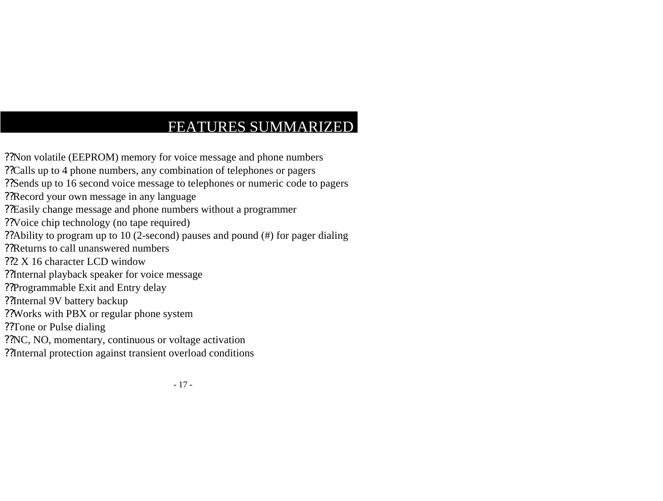# FEATURES SUMMARIZED

??Non volatile (EEPROM) memory for voice message and phone numbers ??Calls up to 4 phone numbers, any combination of telephones or pagers ??Sends up to 16 second voice message to telephones or numeric code to pagers ??Record your own message in any language ??Easily change message and phone numbers without a programmer ??Voice chip technology (no tape required) ??Ability to program up to 10 (2-second) pauses and pound (#) for pager dialing ??Returns to call unanswered numbers ??2 X 16 character LCD window ??Internal playback speaker for voice message ??Programmable Exit and Entry delay ??Internal 9V battery backup ??Works with PBX or regular phone system ??Tone or Pulse dialing ??NC, NO, momentary, continuous or voltage activation ??Internal protection against transient overload conditions

- 17 -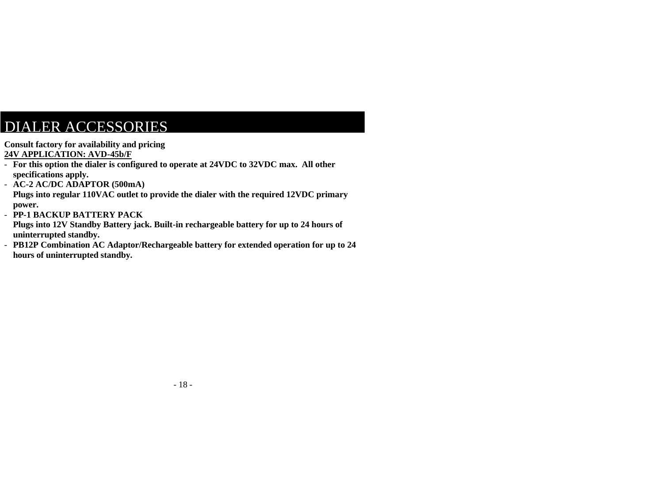### DIALER ACCESSORIES

**Consult factory for availability and pricing 24V APPLICATION: AVD-45b/F**

- **For this option the dialer is configured to operate at 24VDC to 32VDC max. All other specifications apply.**
- **AC-2 AC/DC ADAPTOR (500mA)**

**Plugs into regular 110VAC outlet to provide the dialer with the required 12VDC primary power.**

- **PP-1 BACKUP BATTERY PACK**

**Plugs into 12V Standby Battery jack. Built-in rechargeable battery for up to 24 hours of uninterrupted standby.**

- **PB12P Combination AC Adaptor/Rechargeable battery for extended operation for up to 24 hours of uninterrupted standby.**

- 18 -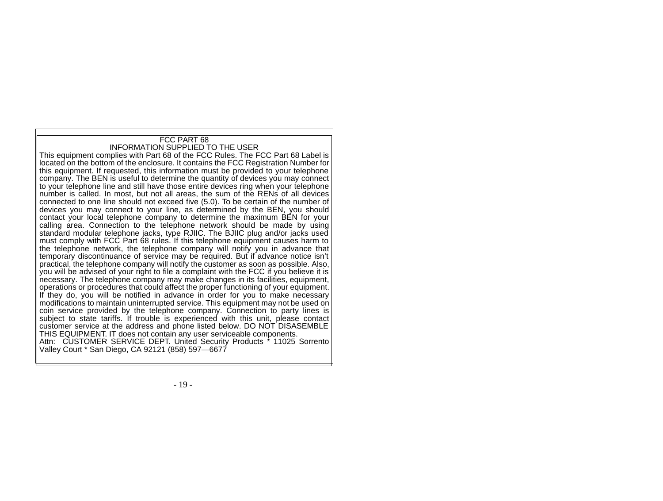### FCC PART 68 INFORMATION SUPPLIED TO THE USER

This equipment complies with Part 68 of the FCC Rules. The FCC Part 68 Label is located on the bottom of the enclosure. It contains the FCC Registration Number for this equipment. If requested, this information must be provided to your telephone company. The BEN is useful to determine the quantity of devices you may connect to your telephone line and still have those entire devices ring when your telephone number is called. In most, but not all areas, the sum of the RENs of all devices connected to one line should not exceed five (5.0). To be certain of the number of devices you may connect to your line, as determined by the BEN, you should contact your local telephone company to determine the maximum BEN for your calling area. Connection to the telephone network should be made by using standard modular telephone jacks, type RJIIC. The BJIIC plug and/or jacks used must comply with FCC Part 68 rules. If this telephone equipment causes harm to the telephone network, the telephone company will notify you in advance that temporary discontinuance of service may be required. But if advance notice isn't practical, the telephone company will notify the customer as soon as possible. Also, you will be advised of your right to file a complaint with the FCC if you believe it is necessary. The telephone company may make changes in its facilities, equipment, operations or procedures that could affect the proper functioning of your equipment. If they do, you will be notified in advance in order for you to make necessary modifications to maintain uninterrupted service. This equipment may not be used on coin service provided by the telephone company. Connection to party lines is subject to state tariffs. If trouble is experienced with this unit, please contact customer service at the address and phone listed below. DO NOT DISASEMBLE THIS EQUIPMENT. IT does not contain any user serviceable components. Attn: CUSTOMER SERVICE DEPT. United Security Products \* 11025 Sorrento Valley Court \* San Diego, CA 92121 (858) 597—6677

- 19 -